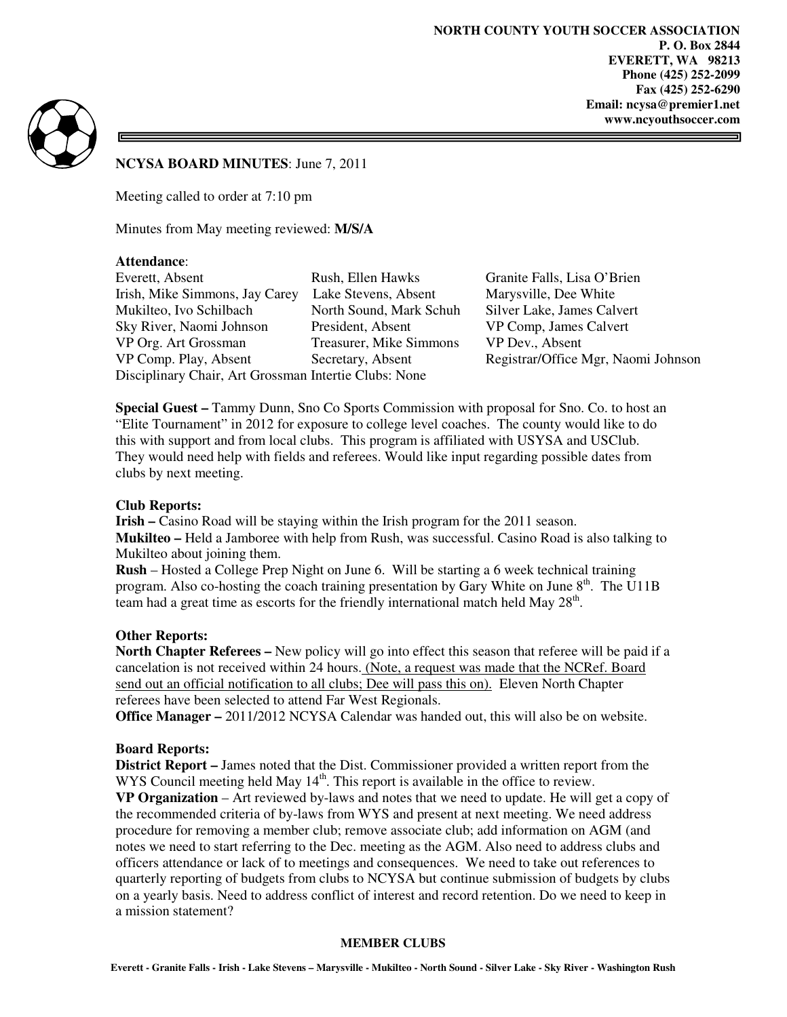

## **NCYSA BOARD MINUTES**: June 7, 2011

Meeting called to order at 7:10 pm

Minutes from May meeting reviewed: **M/S/A**

## **Attendance**:

Everett, Absent Rush, Ellen Hawks Granite Falls, Lisa O'Brien Irish, Mike Simmons, Jay Carey Lake Stevens, Absent Marysville, Dee White Mukilteo, Ivo Schilbach North Sound, Mark Schuh Silver Lake, James Calvert Sky River, Naomi Johnson President, Absent VP Comp, James Calvert VP Org. Art Grossman Treasurer, Mike Simmons VP Dev., Absent VP Comp. Play, Absent Secretary, Absent Registrar/Office Mgr, Naomi Johnson Disciplinary Chair, Art Grossman Intertie Clubs: None

**Special Guest –** Tammy Dunn, Sno Co Sports Commission with proposal for Sno. Co. to host an "Elite Tournament" in 2012 for exposure to college level coaches. The county would like to do this with support and from local clubs. This program is affiliated with USYSA and USClub. They would need help with fields and referees. Would like input regarding possible dates from clubs by next meeting.

# **Club Reports:**

**Irish –** Casino Road will be staying within the Irish program for the 2011 season. **Mukilteo –** Held a Jamboree with help from Rush, was successful. Casino Road is also talking to Mukilteo about joining them.

**Rush** – Hosted a College Prep Night on June 6. Will be starting a 6 week technical training program. Also co-hosting the coach training presentation by Gary White on June  $8<sup>th</sup>$ . The U11B team had a great time as escorts for the friendly international match held May  $28<sup>th</sup>$ .

# **Other Reports:**

**North Chapter Referees –** New policy will go into effect this season that referee will be paid if a cancelation is not received within 24 hours. (Note, a request was made that the NCRef. Board send out an official notification to all clubs; Dee will pass this on). Eleven North Chapter referees have been selected to attend Far West Regionals.

**Office Manager –** 2011/2012 NCYSA Calendar was handed out, this will also be on website.

#### **Board Reports:**

**District Report –** James noted that the Dist. Commissioner provided a written report from the WYS Council meeting held May  $14<sup>th</sup>$ . This report is available in the office to review.

**VP Organization** – Art reviewed by-laws and notes that we need to update. He will get a copy of the recommended criteria of by-laws from WYS and present at next meeting. We need address procedure for removing a member club; remove associate club; add information on AGM (and notes we need to start referring to the Dec. meeting as the AGM. Also need to address clubs and officers attendance or lack of to meetings and consequences. We need to take out references to quarterly reporting of budgets from clubs to NCYSA but continue submission of budgets by clubs on a yearly basis. Need to address conflict of interest and record retention. Do we need to keep in a mission statement?

#### **MEMBER CLUBS**